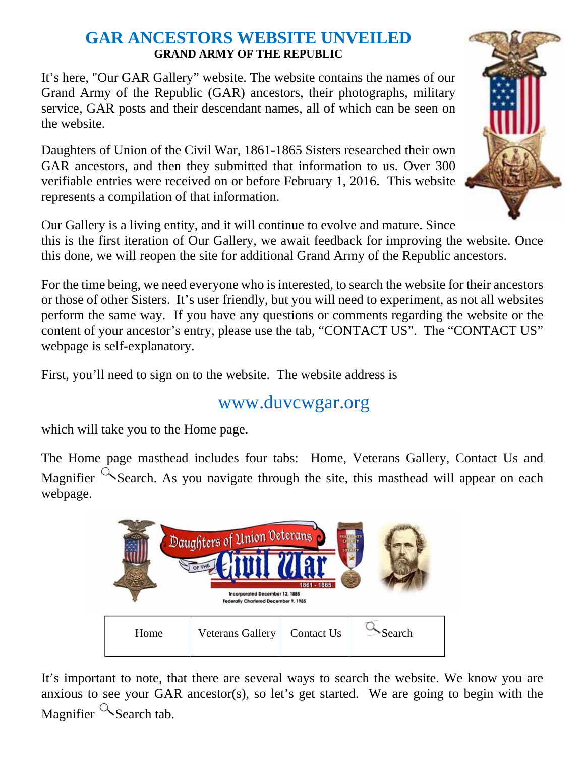## **GAR ANCESTORS WEBSITE UNVEILED GRAND ARMY OF THE REPUBLIC**

It's here, "Our GAR Gallery" website. The website contains the names of our Grand Army of the Republic (GAR) ancestors, their photographs, military service, GAR posts and their descendant names, all of which can be seen on the website.

Daughters of Union of the Civil War, 1861-1865 Sisters researched their own GAR ancestors, and then they submitted that information to us. Over 300 verifiable entries were received on or before February 1, 2016. This website represents a compilation of that information.



Our Gallery is a living entity, and it will continue to evolve and mature. Since this is the first iteration of Our Gallery, we await feedback for improving the website. Once this done, we will reopen the site for additional Grand Army of the Republic ancestors.

For the time being, we need everyone who is interested, to search the website for their ancestors or those of other Sisters. It's user friendly, but you will need to experiment, as not all websites perform the same way. If you have any questions or comments regarding the website or the content of your ancestor's entry, please use the tab, "CONTACT US". The "CONTACT US" webpage is self-explanatory.

First, you'll need to sign on to the website. The website address is

## www.duvcwgar.org

which will take you to the Home page.

The Home page masthead includes four tabs: Home, Veterans Gallery, Contact Us and Magnifier  $\alpha$  Search. As you navigate through the site, this masthead will appear on each webpage.



It's important to note, that there are several ways to search the website. We know you are anxious to see your GAR ancestor(s), so let's get started. We are going to begin with the Magnifier  $\alpha$  Search tab.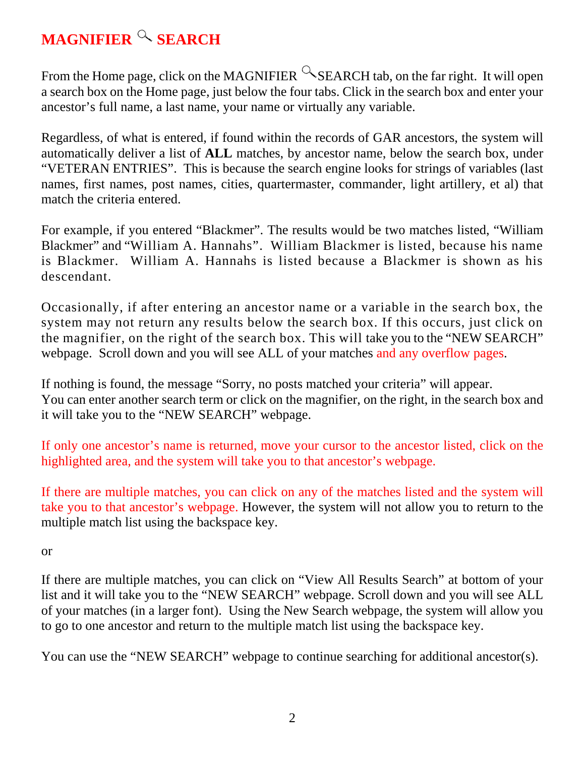## **MAGNIFIER & SEARCH**

From the Home page, click on the MAGNIFIER  $\sim$  SEARCH tab, on the far right. It will open a search box on the Home page, just below the four tabs. Click in the search box and enter your ancestor's full name, a last name, your name or virtually any variable.

Regardless, of what is entered, if found within the records of GAR ancestors, the system will automatically deliver a list of **ALL** matches, by ancestor name, below the search box, under "VETERAN ENTRIES". This is because the search engine looks for strings of variables (last names, first names, post names, cities, quartermaster, commander, light artillery, et al) that match the criteria entered.

For example, if you entered "Blackmer". The results would be two matches listed, "William Blackmer" and "William A. Hannahs". William Blackmer is listed, because his name is Blackmer. William A. Hannahs is listed because a Blackmer is shown as his descendant.

Occasionally, if after entering an ancestor name or a variable in the search box, the system may not return any results below the search box. If this occurs, just click on the magnifier, on the right of the search box. This will take you to the "NEW SEARCH" webpage. Scroll down and you will see ALL of your matches and any overflow pages.

If nothing is found, the message "Sorry, no posts matched your criteria" will appear. You can enter another search term or click on the magnifier, on the right, in the search box and it will take you to the "NEW SEARCH" webpage.

If only one ancestor's name is returned, move your cursor to the ancestor listed, click on the highlighted area, and the system will take you to that ancestor's webpage.

If there are multiple matches, you can click on any of the matches listed and the system will take you to that ancestor's webpage. However, the system will not allow you to return to the multiple match list using the backspace key.

or

If there are multiple matches, you can click on "View All Results Search" at bottom of your list and it will take you to the "NEW SEARCH" webpage. Scroll down and you will see ALL of your matches (in a larger font). Using the New Search webpage, the system will allow you to go to one ancestor and return to the multiple match list using the backspace key.

You can use the "NEW SEARCH" webpage to continue searching for additional ancestor(s).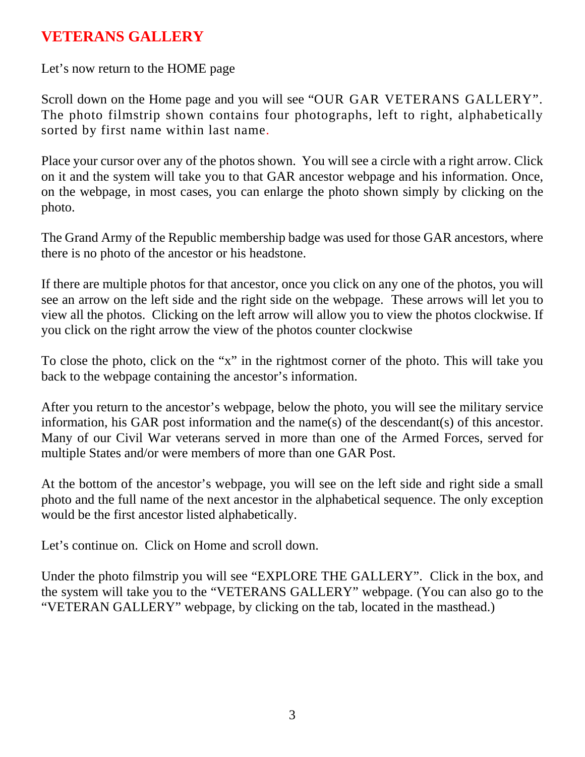## **VETERANS GALLERY**

Let's now return to the HOME page

Scroll down on the Home page and you will see "OUR GAR VETERANS GALLERY". The photo filmstrip shown contains four photographs, left to right, alphabetically sorted by first name within last name.

Place your cursor over any of the photos shown. You will see a circle with a right arrow. Click on it and the system will take you to that GAR ancestor webpage and his information. Once, on the webpage, in most cases, you can enlarge the photo shown simply by clicking on the photo.

The Grand Army of the Republic membership badge was used for those GAR ancestors, where there is no photo of the ancestor or his headstone.

If there are multiple photos for that ancestor, once you click on any one of the photos, you will see an arrow on the left side and the right side on the webpage. These arrows will let you to view all the photos. Clicking on the left arrow will allow you to view the photos clockwise. If you click on the right arrow the view of the photos counter clockwise

To close the photo, click on the "x" in the rightmost corner of the photo. This will take you back to the webpage containing the ancestor's information.

After you return to the ancestor's webpage, below the photo, you will see the military service information, his GAR post information and the name(s) of the descendant(s) of this ancestor. Many of our Civil War veterans served in more than one of the Armed Forces, served for multiple States and/or were members of more than one GAR Post.

At the bottom of the ancestor's webpage, you will see on the left side and right side a small photo and the full name of the next ancestor in the alphabetical sequence. The only exception would be the first ancestor listed alphabetically.

Let's continue on. Click on Home and scroll down.

Under the photo filmstrip you will see "EXPLORE THE GALLERY". Click in the box, and the system will take you to the "VETERANS GALLERY" webpage. (You can also go to the "VETERAN GALLERY" webpage, by clicking on the tab, located in the masthead.)